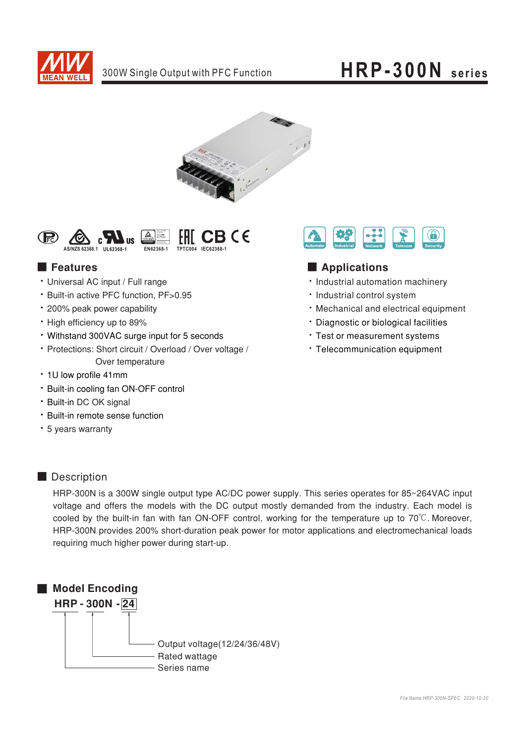





### ■ Features

- Universal AC input / Full range
- · Built-in active PFC function, PF>0.95
- 200% peak power capability
- High efficiency up to 89%
- Withstand 300VAC surge input for 5 seconds
- Protections: Short circuit / Overload / Over voltage / Over temperature
- 1U low profile 41mm
- Built-in cooling fan ON-OFF control
- · Built-in DC OK signal
- Built-in remote sense function
- 5 years warranty



### ■ **Applications**

- Industrial automation machinery
- Industrial control system
- Mechanical and electrical equipment
- Diagnostic or biological facilities
- \* Test or measurement systems
- Telecommunication equipment

### ■ Description

HRP-300N is a 300W single output type AC/DC power supply. This series operates for 85~264VAC input voltage and offers the models with the DC output mostly demanded from the industry. Each model is cooled by the built-in fan with fan ON-OFF control, working for the temperature up to  $70^{\circ}$ C. Moreover, HRP-300N provides 200% short-duration peak power for motor applications and electromechanical loads requiring much higher power during start-up.

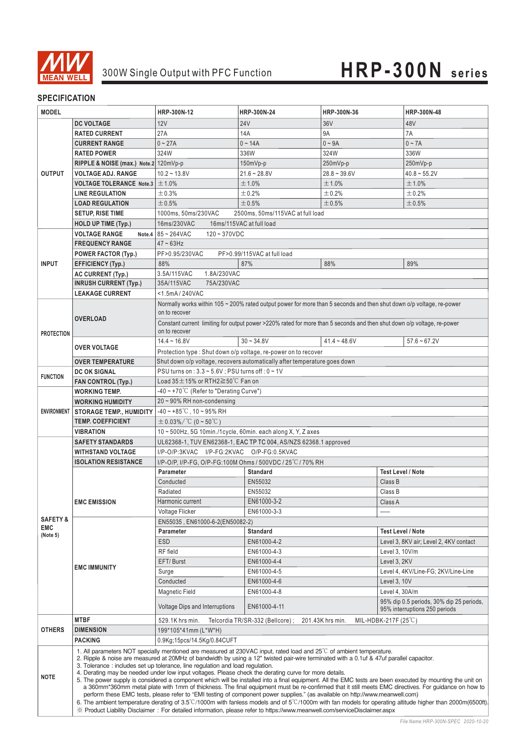

### **SPECIFICATION**

| <b>MODEL</b>        |                                                                                                                                                                                                                                                                                                                                                                                                                                                                                                                                                                                                                                                                                                                                                                                                                                                                                                                                                                                                                                                                                                                                                                                                                                       | HRP-300N-12                                                                                                          | HRP-300N-24                             | HRP-300N-36    | HRP-300N-48                                                                                                             |  |  |
|---------------------|---------------------------------------------------------------------------------------------------------------------------------------------------------------------------------------------------------------------------------------------------------------------------------------------------------------------------------------------------------------------------------------------------------------------------------------------------------------------------------------------------------------------------------------------------------------------------------------------------------------------------------------------------------------------------------------------------------------------------------------------------------------------------------------------------------------------------------------------------------------------------------------------------------------------------------------------------------------------------------------------------------------------------------------------------------------------------------------------------------------------------------------------------------------------------------------------------------------------------------------|----------------------------------------------------------------------------------------------------------------------|-----------------------------------------|----------------|-------------------------------------------------------------------------------------------------------------------------|--|--|
|                     | <b>DC VOLTAGE</b>                                                                                                                                                                                                                                                                                                                                                                                                                                                                                                                                                                                                                                                                                                                                                                                                                                                                                                                                                                                                                                                                                                                                                                                                                     | 12V                                                                                                                  | <b>24V</b>                              | 36V            | 48V                                                                                                                     |  |  |
|                     |                                                                                                                                                                                                                                                                                                                                                                                                                                                                                                                                                                                                                                                                                                                                                                                                                                                                                                                                                                                                                                                                                                                                                                                                                                       | 27A                                                                                                                  | 14A                                     | <b>9A</b>      | 7A                                                                                                                      |  |  |
|                     | <b>RATED CURRENT</b>                                                                                                                                                                                                                                                                                                                                                                                                                                                                                                                                                                                                                                                                                                                                                                                                                                                                                                                                                                                                                                                                                                                                                                                                                  | $0 - 27A$                                                                                                            |                                         | $0 - 9A$       |                                                                                                                         |  |  |
|                     | <b>CURRENT RANGE</b>                                                                                                                                                                                                                                                                                                                                                                                                                                                                                                                                                                                                                                                                                                                                                                                                                                                                                                                                                                                                                                                                                                                                                                                                                  |                                                                                                                      | $0 - 14A$                               |                | $0 - 7A$                                                                                                                |  |  |
|                     | <b>RATED POWER</b>                                                                                                                                                                                                                                                                                                                                                                                                                                                                                                                                                                                                                                                                                                                                                                                                                                                                                                                                                                                                                                                                                                                                                                                                                    | 324W                                                                                                                 | 336W                                    | 324W           | 336W                                                                                                                    |  |  |
|                     | RIPPLE & NOISE (max.) Note.2 120mVp-p                                                                                                                                                                                                                                                                                                                                                                                                                                                                                                                                                                                                                                                                                                                                                                                                                                                                                                                                                                                                                                                                                                                                                                                                 |                                                                                                                      | 150mVp-p                                | 250mVp-p       | 250mVp-p                                                                                                                |  |  |
| <b>OUTPUT</b>       | <b>VOLTAGE ADJ. RANGE</b>                                                                                                                                                                                                                                                                                                                                                                                                                                                                                                                                                                                                                                                                                                                                                                                                                                                                                                                                                                                                                                                                                                                                                                                                             | $10.2 - 13.8V$                                                                                                       | $21.6 - 28.8V$                          | $28.8 - 39.6V$ | $40.8 - 55.2V$                                                                                                          |  |  |
|                     | <b>VOLTAGE TOLERANCE Note.3</b>                                                                                                                                                                                                                                                                                                                                                                                                                                                                                                                                                                                                                                                                                                                                                                                                                                                                                                                                                                                                                                                                                                                                                                                                       | ±1.0%                                                                                                                | ±1.0%                                   | ±1.0%          | ±1.0%                                                                                                                   |  |  |
|                     | <b>LINE REGULATION</b>                                                                                                                                                                                                                                                                                                                                                                                                                                                                                                                                                                                                                                                                                                                                                                                                                                                                                                                                                                                                                                                                                                                                                                                                                | ±0.3%                                                                                                                | ±0.2%                                   | ±0.2%          | ±0.2%                                                                                                                   |  |  |
|                     | <b>LOAD REGULATION</b>                                                                                                                                                                                                                                                                                                                                                                                                                                                                                                                                                                                                                                                                                                                                                                                                                                                                                                                                                                                                                                                                                                                                                                                                                |                                                                                                                      | ± 0.5%<br>± 0.5%<br>±0.5%<br>$\pm 0.5%$ |                |                                                                                                                         |  |  |
|                     | <b>SETUP, RISE TIME</b>                                                                                                                                                                                                                                                                                                                                                                                                                                                                                                                                                                                                                                                                                                                                                                                                                                                                                                                                                                                                                                                                                                                                                                                                               | 1000ms, 50ms/230VAC<br>2500ms, 50ms/115VAC at full load                                                              |                                         |                |                                                                                                                         |  |  |
|                     | <b>HOLD UP TIME (Typ.)</b>                                                                                                                                                                                                                                                                                                                                                                                                                                                                                                                                                                                                                                                                                                                                                                                                                                                                                                                                                                                                                                                                                                                                                                                                            | 16ms/115VAC at full load<br>16ms/230VAC                                                                              |                                         |                |                                                                                                                         |  |  |
|                     | <b>VOLTAGE RANGE</b>                                                                                                                                                                                                                                                                                                                                                                                                                                                                                                                                                                                                                                                                                                                                                                                                                                                                                                                                                                                                                                                                                                                                                                                                                  | Note.4 $ 85 - 264$ VAC<br>$120 - 370$ VDC                                                                            |                                         |                |                                                                                                                         |  |  |
|                     | <b>FREQUENCY RANGE</b>                                                                                                                                                                                                                                                                                                                                                                                                                                                                                                                                                                                                                                                                                                                                                                                                                                                                                                                                                                                                                                                                                                                                                                                                                | $47 - 63$ Hz                                                                                                         |                                         |                |                                                                                                                         |  |  |
|                     | <b>POWER FACTOR (Typ.)</b>                                                                                                                                                                                                                                                                                                                                                                                                                                                                                                                                                                                                                                                                                                                                                                                                                                                                                                                                                                                                                                                                                                                                                                                                            | PF>0.95/230VAC                                                                                                       | PF>0.99/115VAC at full load             |                |                                                                                                                         |  |  |
| <b>INPUT</b>        | <b>EFFICIENCY (Typ.)</b>                                                                                                                                                                                                                                                                                                                                                                                                                                                                                                                                                                                                                                                                                                                                                                                                                                                                                                                                                                                                                                                                                                                                                                                                              | 88%                                                                                                                  | 87%                                     | 88%            | 89%                                                                                                                     |  |  |
|                     | <b>AC CURRENT (Typ.)</b>                                                                                                                                                                                                                                                                                                                                                                                                                                                                                                                                                                                                                                                                                                                                                                                                                                                                                                                                                                                                                                                                                                                                                                                                              | 3.5A/115VAC<br>1.8A/230VAC                                                                                           |                                         |                |                                                                                                                         |  |  |
|                     | <b>INRUSH CURRENT (Typ.)</b>                                                                                                                                                                                                                                                                                                                                                                                                                                                                                                                                                                                                                                                                                                                                                                                                                                                                                                                                                                                                                                                                                                                                                                                                          | 35A/115VAC<br>75A/230VAC                                                                                             |                                         |                |                                                                                                                         |  |  |
|                     | <b>LEAKAGE CURRENT</b>                                                                                                                                                                                                                                                                                                                                                                                                                                                                                                                                                                                                                                                                                                                                                                                                                                                                                                                                                                                                                                                                                                                                                                                                                | <1.5mA/240VAC                                                                                                        |                                         |                |                                                                                                                         |  |  |
|                     |                                                                                                                                                                                                                                                                                                                                                                                                                                                                                                                                                                                                                                                                                                                                                                                                                                                                                                                                                                                                                                                                                                                                                                                                                                       | Normally works within 105 ~ 200% rated output power for more than 5 seconds and then shut down o/p voltage, re-power |                                         |                |                                                                                                                         |  |  |
|                     |                                                                                                                                                                                                                                                                                                                                                                                                                                                                                                                                                                                                                                                                                                                                                                                                                                                                                                                                                                                                                                                                                                                                                                                                                                       | on to recover                                                                                                        |                                         |                |                                                                                                                         |  |  |
|                     | <b>OVERLOAD</b>                                                                                                                                                                                                                                                                                                                                                                                                                                                                                                                                                                                                                                                                                                                                                                                                                                                                                                                                                                                                                                                                                                                                                                                                                       |                                                                                                                      |                                         |                | Constant current limiting for output power >220% rated for more than 5 seconds and then shut down o/p voltage, re-power |  |  |
| <b>PROTECTION</b>   |                                                                                                                                                                                                                                                                                                                                                                                                                                                                                                                                                                                                                                                                                                                                                                                                                                                                                                                                                                                                                                                                                                                                                                                                                                       | on to recover                                                                                                        |                                         |                |                                                                                                                         |  |  |
|                     | <b>OVER VOLTAGE</b>                                                                                                                                                                                                                                                                                                                                                                                                                                                                                                                                                                                                                                                                                                                                                                                                                                                                                                                                                                                                                                                                                                                                                                                                                   | $14.4 - 16.8V$                                                                                                       | $30 - 34.8V$                            | $41.4 - 48.6V$ | $57.6 - 67.2V$                                                                                                          |  |  |
|                     |                                                                                                                                                                                                                                                                                                                                                                                                                                                                                                                                                                                                                                                                                                                                                                                                                                                                                                                                                                                                                                                                                                                                                                                                                                       | Protection type: Shut down o/p voltage, re-power on to recover                                                       |                                         |                |                                                                                                                         |  |  |
|                     | <b>OVER TEMPERATURE</b>                                                                                                                                                                                                                                                                                                                                                                                                                                                                                                                                                                                                                                                                                                                                                                                                                                                                                                                                                                                                                                                                                                                                                                                                               | Shut down o/p voltage, recovers automatically after temperature goes down                                            |                                         |                |                                                                                                                         |  |  |
| <b>FUNCTION</b>     | <b>DC OK SIGNAL</b>                                                                                                                                                                                                                                                                                                                                                                                                                                                                                                                                                                                                                                                                                                                                                                                                                                                                                                                                                                                                                                                                                                                                                                                                                   | PSU turns on: 3.3 ~ 5.6V; PSU turns off: 0 ~ 1V                                                                      |                                         |                |                                                                                                                         |  |  |
|                     | <b>FAN CONTROL (Typ.)</b>                                                                                                                                                                                                                                                                                                                                                                                                                                                                                                                                                                                                                                                                                                                                                                                                                                                                                                                                                                                                                                                                                                                                                                                                             | Load $35 \pm 15\%$ or RTH2 $\geq 50\degree$ C Fan on                                                                 |                                         |                |                                                                                                                         |  |  |
|                     | <b>WORKING TEMP.</b>                                                                                                                                                                                                                                                                                                                                                                                                                                                                                                                                                                                                                                                                                                                                                                                                                                                                                                                                                                                                                                                                                                                                                                                                                  | $-40 \sim +70^{\circ}$ (Refer to "Derating Curve")                                                                   |                                         |                |                                                                                                                         |  |  |
|                     | <b>WORKING HUMIDITY</b>                                                                                                                                                                                                                                                                                                                                                                                                                                                                                                                                                                                                                                                                                                                                                                                                                                                                                                                                                                                                                                                                                                                                                                                                               | 20~90% RH non-condensing                                                                                             |                                         |                |                                                                                                                         |  |  |
| ENVIRONMENT         | <b>STORAGE TEMP., HUMIDITY</b>                                                                                                                                                                                                                                                                                                                                                                                                                                                                                                                                                                                                                                                                                                                                                                                                                                                                                                                                                                                                                                                                                                                                                                                                        | $-40 \sim +85^{\circ}$ C, 10 ~ 95% RH                                                                                |                                         |                |                                                                                                                         |  |  |
|                     | <b>TEMP. COEFFICIENT</b>                                                                                                                                                                                                                                                                                                                                                                                                                                                                                                                                                                                                                                                                                                                                                                                                                                                                                                                                                                                                                                                                                                                                                                                                              | $\pm$ 0.03%/°C (0 ~ 50°C)                                                                                            |                                         |                |                                                                                                                         |  |  |
|                     | <b>VIBRATION</b>                                                                                                                                                                                                                                                                                                                                                                                                                                                                                                                                                                                                                                                                                                                                                                                                                                                                                                                                                                                                                                                                                                                                                                                                                      | 10~500Hz, 5G 10min./1cycle, 60min. each along X, Y, Z axes                                                           |                                         |                |                                                                                                                         |  |  |
|                     | <b>SAFETY STANDARDS</b>                                                                                                                                                                                                                                                                                                                                                                                                                                                                                                                                                                                                                                                                                                                                                                                                                                                                                                                                                                                                                                                                                                                                                                                                               | UL62368-1, TUV EN62368-1, EAC TP TC 004, AS/NZS 62368.1 approved                                                     |                                         |                |                                                                                                                         |  |  |
|                     | <b>WITHSTAND VOLTAGE</b>                                                                                                                                                                                                                                                                                                                                                                                                                                                                                                                                                                                                                                                                                                                                                                                                                                                                                                                                                                                                                                                                                                                                                                                                              | I/P-O/P:3KVAC I/P-FG:2KVAC O/P-FG:0.5KVAC                                                                            |                                         |                |                                                                                                                         |  |  |
|                     | <b>ISOLATION RESISTANCE</b>                                                                                                                                                                                                                                                                                                                                                                                                                                                                                                                                                                                                                                                                                                                                                                                                                                                                                                                                                                                                                                                                                                                                                                                                           | I/P-O/P, I/P-FG, O/P-FG:100M Ohms / 500VDC / 25°C / 70% RH                                                           |                                         |                |                                                                                                                         |  |  |
|                     | <b>EMC EMISSION</b>                                                                                                                                                                                                                                                                                                                                                                                                                                                                                                                                                                                                                                                                                                                                                                                                                                                                                                                                                                                                                                                                                                                                                                                                                   | Parameter                                                                                                            | <b>Standard</b>                         |                | <b>Test Level / Note</b>                                                                                                |  |  |
|                     |                                                                                                                                                                                                                                                                                                                                                                                                                                                                                                                                                                                                                                                                                                                                                                                                                                                                                                                                                                                                                                                                                                                                                                                                                                       | Conducted                                                                                                            | EN55032                                 |                | Class B                                                                                                                 |  |  |
|                     |                                                                                                                                                                                                                                                                                                                                                                                                                                                                                                                                                                                                                                                                                                                                                                                                                                                                                                                                                                                                                                                                                                                                                                                                                                       | Radiated                                                                                                             | EN55032                                 |                | Class B                                                                                                                 |  |  |
|                     |                                                                                                                                                                                                                                                                                                                                                                                                                                                                                                                                                                                                                                                                                                                                                                                                                                                                                                                                                                                                                                                                                                                                                                                                                                       | Harmonic current                                                                                                     | EN61000-3-2                             |                | Class A                                                                                                                 |  |  |
|                     |                                                                                                                                                                                                                                                                                                                                                                                                                                                                                                                                                                                                                                                                                                                                                                                                                                                                                                                                                                                                                                                                                                                                                                                                                                       | Voltage Flicker                                                                                                      | EN61000-3-3                             |                | -----                                                                                                                   |  |  |
| <b>SAFETY &amp;</b> | <b>EMC IMMUNITY</b>                                                                                                                                                                                                                                                                                                                                                                                                                                                                                                                                                                                                                                                                                                                                                                                                                                                                                                                                                                                                                                                                                                                                                                                                                   | EN55035, EN61000-6-2(EN50082-2)                                                                                      |                                         |                |                                                                                                                         |  |  |
| EMC<br>(Note 5)     |                                                                                                                                                                                                                                                                                                                                                                                                                                                                                                                                                                                                                                                                                                                                                                                                                                                                                                                                                                                                                                                                                                                                                                                                                                       | Parameter                                                                                                            | <b>Standard</b>                         |                | <b>Test Level / Note</b>                                                                                                |  |  |
|                     |                                                                                                                                                                                                                                                                                                                                                                                                                                                                                                                                                                                                                                                                                                                                                                                                                                                                                                                                                                                                                                                                                                                                                                                                                                       | <b>ESD</b>                                                                                                           | EN61000-4-2                             |                | Level 3, 8KV air; Level 2, 4KV contact                                                                                  |  |  |
|                     |                                                                                                                                                                                                                                                                                                                                                                                                                                                                                                                                                                                                                                                                                                                                                                                                                                                                                                                                                                                                                                                                                                                                                                                                                                       | RF field                                                                                                             | EN61000-4-3                             |                | Level 3, 10V/m                                                                                                          |  |  |
|                     |                                                                                                                                                                                                                                                                                                                                                                                                                                                                                                                                                                                                                                                                                                                                                                                                                                                                                                                                                                                                                                                                                                                                                                                                                                       | EFT/Burst                                                                                                            | EN61000-4-4                             |                | Level 3, 2KV                                                                                                            |  |  |
|                     |                                                                                                                                                                                                                                                                                                                                                                                                                                                                                                                                                                                                                                                                                                                                                                                                                                                                                                                                                                                                                                                                                                                                                                                                                                       | Surge                                                                                                                | EN61000-4-5                             |                | Level 4, 4KV/Line-FG; 2KV/Line-Line                                                                                     |  |  |
|                     |                                                                                                                                                                                                                                                                                                                                                                                                                                                                                                                                                                                                                                                                                                                                                                                                                                                                                                                                                                                                                                                                                                                                                                                                                                       | Conducted                                                                                                            | EN61000-4-6                             |                | Level 3, 10V                                                                                                            |  |  |
|                     |                                                                                                                                                                                                                                                                                                                                                                                                                                                                                                                                                                                                                                                                                                                                                                                                                                                                                                                                                                                                                                                                                                                                                                                                                                       | <b>Magnetic Field</b>                                                                                                | EN61000-4-8                             |                | Level 4, 30A/m                                                                                                          |  |  |
|                     |                                                                                                                                                                                                                                                                                                                                                                                                                                                                                                                                                                                                                                                                                                                                                                                                                                                                                                                                                                                                                                                                                                                                                                                                                                       | Voltage Dips and Interruptions                                                                                       | EN61000-4-11                            |                | 95% dip 0.5 periods, 30% dip 25 periods,<br>95% interruptions 250 periods                                               |  |  |
|                     | <b>MTBF</b>                                                                                                                                                                                                                                                                                                                                                                                                                                                                                                                                                                                                                                                                                                                                                                                                                                                                                                                                                                                                                                                                                                                                                                                                                           | MIL-HDBK-217F (25°C)<br>Telcordia TR/SR-332 (Bellcore);<br>201.43K hrs min.<br>529.1K hrs min.                       |                                         |                |                                                                                                                         |  |  |
| <b>OTHERS</b>       | <b>DIMENSION</b>                                                                                                                                                                                                                                                                                                                                                                                                                                                                                                                                                                                                                                                                                                                                                                                                                                                                                                                                                                                                                                                                                                                                                                                                                      | 199*105*41mm (L*W*H)                                                                                                 |                                         |                |                                                                                                                         |  |  |
|                     | <b>PACKING</b>                                                                                                                                                                                                                                                                                                                                                                                                                                                                                                                                                                                                                                                                                                                                                                                                                                                                                                                                                                                                                                                                                                                                                                                                                        | 0.9Kg;15pcs/14.5Kg/0.84CUFT                                                                                          |                                         |                |                                                                                                                         |  |  |
| <b>NOTE</b>         | 1. All parameters NOT specially mentioned are measured at 230VAC input, rated load and $25^{\circ}$ of ambient temperature.<br>2. Ripple & noise are measured at 20MHz of bandwidth by using a 12" twisted pair-wire terminated with a 0.1uf & 47uf parallel capacitor.<br>3. Tolerance: includes set up tolerance, line regulation and load regulation.<br>4. Derating may be needed under low input voltages. Please check the derating curve for more details.<br>5. The power supply is considered a component which will be installed into a final equipment. All the EMC tests are been executed by mounting the unit on<br>a 360mm*360mm metal plate with 1mm of thickness. The final equipment must be re-confirmed that it still meets EMC directives. For guidance on how to<br>perform these EMC tests, please refer to "EMI testing of component power supplies." (as available on http://www.meanwell.com)<br>6. The ambient temperature derating of $3.5^{\circ}$ C/1000m with fanless models and of $5^{\circ}$ C/1000m with fan models for operating altitude higher than 2000m(6500ft).<br>X Product Liability Disclaimer: For detailed information, please refer to https://www.meanwell.com/serviceDisclaimer.aspx |                                                                                                                      |                                         |                |                                                                                                                         |  |  |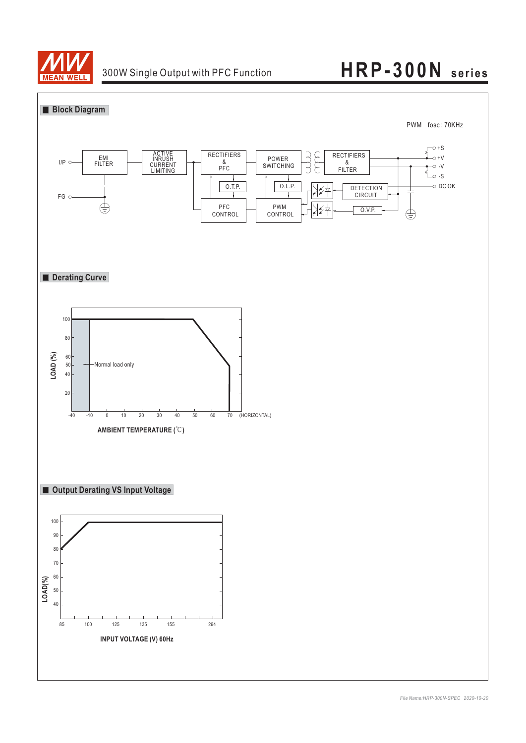

### 300W Single Output with PFC Function

## **HRP-300N series**

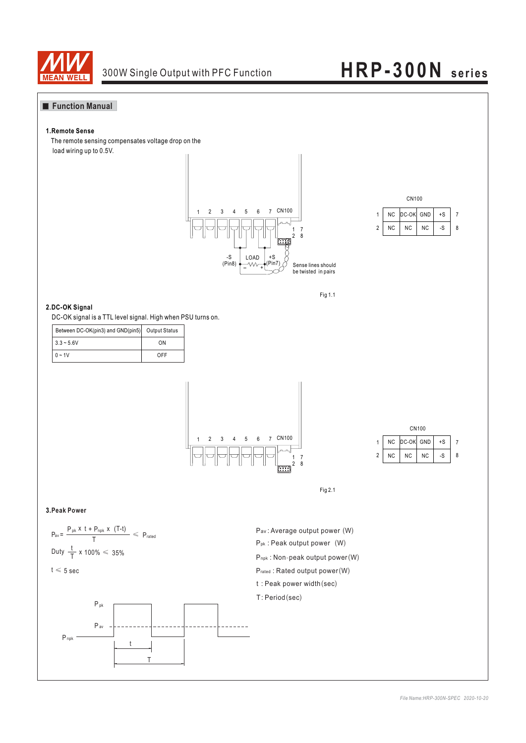

### **Function Manual**

#### **1.Remote Sense**

The remote sensing compensates voltage drop on the load wiring up to 0.5V.







#### **2.DC-OK Signal**

DC-OK signal is a TTL level signal. High when PSU turns on.

| Between DC-OK(pin3) and GND(pin5) Output Status |     |
|-------------------------------------------------|-----|
| $3.3 - 5.6V$                                    | ON  |
| $0 - 1V$                                        | OFF |





Fig 2.1

#### **3.Peak Power**



 $t \leqslant 5$  sec



Pav: Average output power (W) P<sub>pk</sub>: Peak output power (W) P<sub>npk</sub>: Non-peak output power (W) Prated : Rated output power (W)  $t$  : Peak power width (sec) T: Period (sec)